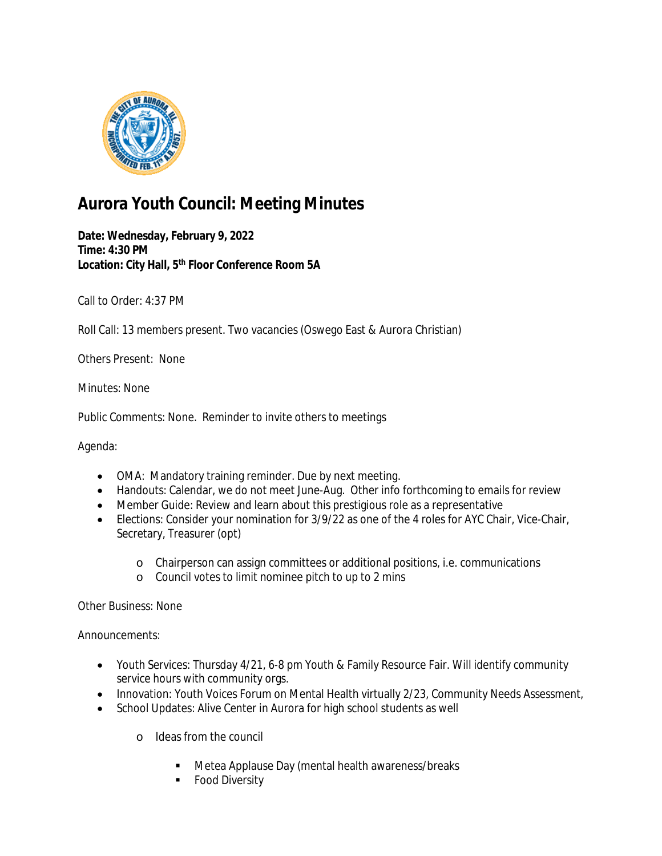

## **Aurora Youth Council: Meeting Minutes**

**Date: Wednesday, February 9, 2022 Time: 4:30 PM Location: City Hall, 5th Floor Conference Room 5A**

Call to Order: 4:37 PM

Roll Call: 13 members present. Two vacancies (Oswego East & Aurora Christian)

Others Present: None

Minutes: None

Public Comments: None. Reminder to invite others to meetings

Agenda:

- OMA: Mandatory training reminder. Due by next meeting.
- Handouts: Calendar, we do not meet June-Aug. Other info forthcoming to emails for review
- Member Guide: Review and learn about this prestigious role as a representative
- Elections: Consider your nomination for 3/9/22 as one of the 4 roles for AYC Chair, Vice-Chair, Secretary, Treasurer (opt)
	- o Chairperson can assign committees or additional positions, i.e. communications
	- o Council votes to limit nominee pitch to up to 2 mins

Other Business: None

Announcements:

- Youth Services: Thursday 4/21, 6-8 pm Youth & Family Resource Fair. Will identify community service hours with community orgs.
- Innovation: Youth Voices Forum on Mental Health virtually 2/23, Community Needs Assessment,
- School Updates: Alive Center in Aurora for high school students as well
	- o Ideas from the council
		- **Metea Applause Day (mental health awareness/breaks**
		- **Food Diversity**